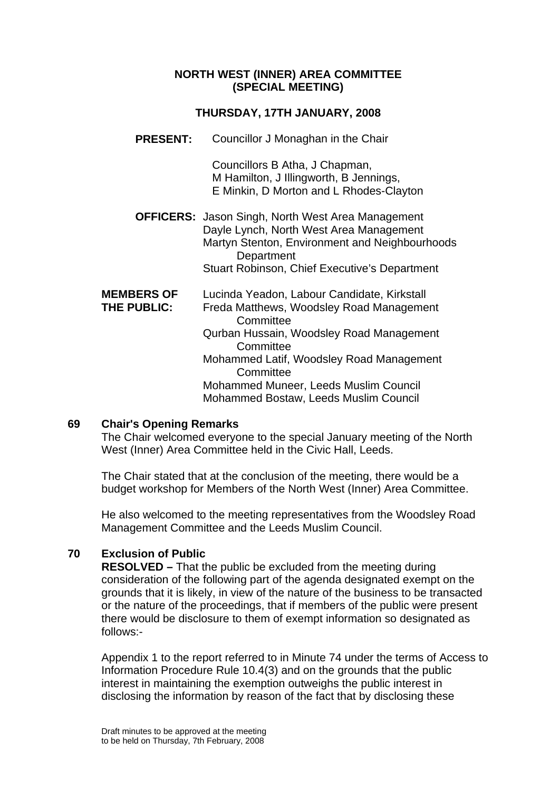#### **NORTH WEST (INNER) AREA COMMITTEE (SPECIAL MEETING)**

## **THURSDAY, 17TH JANUARY, 2008**

**PRESENT:** Councillor J Monaghan in the Chair

Councillors B Atha, J Chapman, M Hamilton, J Illingworth, B Jennings, E Minkin, D Morton and L Rhodes-Clayton

**OFFICERS:** Jason Singh, North West Area Management Dayle Lynch, North West Area Management Martyn Stenton, Environment and Neighbourhoods **Department** Stuart Robinson, Chief Executive's Department

| <b>MEMBERS OF</b> | Lucinda Yeadon, Labour Candidate, Kirkstall |
|-------------------|---------------------------------------------|
| THE PUBLIC:       | Freda Matthews, Woodsley Road Management    |
|                   | Committee                                   |
|                   | Qurban Hussain, Woodsley Road Management    |
|                   | Committee                                   |
|                   | Mohammed Latif, Woodsley Road Management    |
|                   | Committee                                   |
|                   | Mohammed Muneer, Leeds Muslim Council       |
|                   | Mohammed Bostaw, Leeds Muslim Council       |

### **69 Chair's Opening Remarks**

The Chair welcomed everyone to the special January meeting of the North West (Inner) Area Committee held in the Civic Hall, Leeds.

The Chair stated that at the conclusion of the meeting, there would be a budget workshop for Members of the North West (Inner) Area Committee.

He also welcomed to the meeting representatives from the Woodsley Road Management Committee and the Leeds Muslim Council.

# **70 Exclusion of Public**

**RESOLVED –** That the public be excluded from the meeting during consideration of the following part of the agenda designated exempt on the grounds that it is likely, in view of the nature of the business to be transacted or the nature of the proceedings, that if members of the public were present there would be disclosure to them of exempt information so designated as follows:-

Appendix 1 to the report referred to in Minute 74 under the terms of Access to Information Procedure Rule 10.4(3) and on the grounds that the public interest in maintaining the exemption outweighs the public interest in disclosing the information by reason of the fact that by disclosing these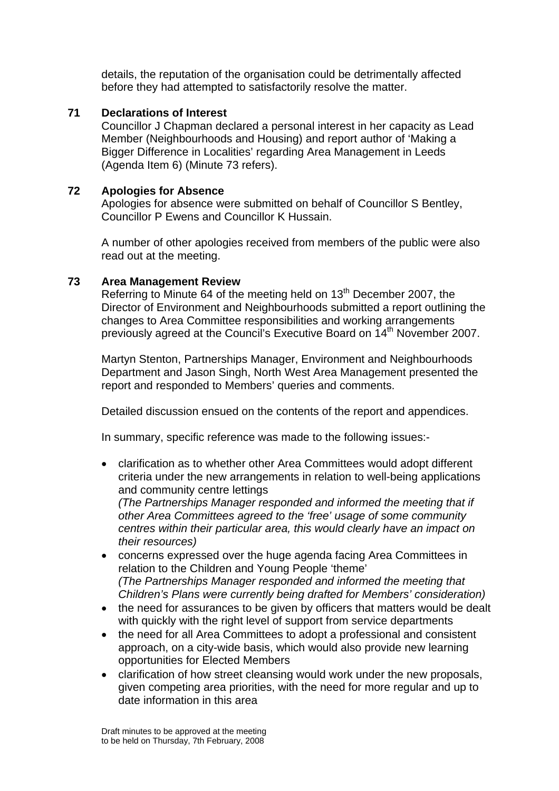details, the reputation of the organisation could be detrimentally affected before they had attempted to satisfactorily resolve the matter.

## **71 Declarations of Interest**

Councillor J Chapman declared a personal interest in her capacity as Lead Member (Neighbourhoods and Housing) and report author of 'Making a Bigger Difference in Localities' regarding Area Management in Leeds (Agenda Item 6) (Minute 73 refers).

## **72 Apologies for Absence**

Apologies for absence were submitted on behalf of Councillor S Bentley, Councillor P Ewens and Councillor K Hussain.

A number of other apologies received from members of the public were also read out at the meeting.

### **73 Area Management Review**

Referring to Minute 64 of the meeting held on 13<sup>th</sup> December 2007, the Director of Environment and Neighbourhoods submitted a report outlining the changes to Area Committee responsibilities and working arrangements previously agreed at the Council's Executive Board on 14<sup>th</sup> November 2007.

Martyn Stenton, Partnerships Manager, Environment and Neighbourhoods Department and Jason Singh, North West Area Management presented the report and responded to Members' queries and comments.

Detailed discussion ensued on the contents of the report and appendices.

In summary, specific reference was made to the following issues:-

• clarification as to whether other Area Committees would adopt different criteria under the new arrangements in relation to well-being applications and community centre lettings

*(The Partnerships Manager responded and informed the meeting that if other Area Committees agreed to the 'free' usage of some community centres within their particular area, this would clearly have an impact on their resources)* 

- concerns expressed over the huge agenda facing Area Committees in relation to the Children and Young People 'theme' *(The Partnerships Manager responded and informed the meeting that Children's Plans were currently being drafted for Members' consideration)*
- the need for assurances to be given by officers that matters would be dealt with quickly with the right level of support from service departments
- the need for all Area Committees to adopt a professional and consistent approach, on a city-wide basis, which would also provide new learning opportunities for Elected Members
- clarification of how street cleansing would work under the new proposals, given competing area priorities, with the need for more regular and up to date information in this area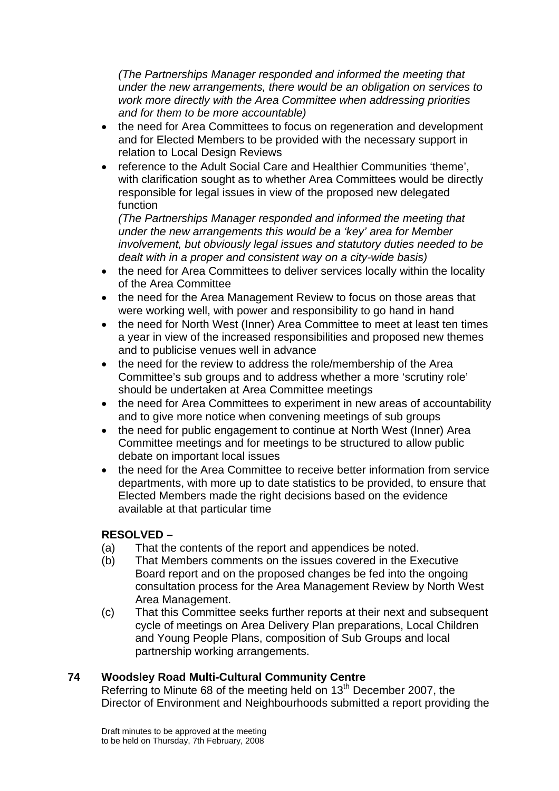*(The Partnerships Manager responded and informed the meeting that under the new arrangements, there would be an obligation on services to work more directly with the Area Committee when addressing priorities and for them to be more accountable)* 

- the need for Area Committees to focus on regeneration and development and for Elected Members to be provided with the necessary support in relation to Local Design Reviews
- reference to the Adult Social Care and Healthier Communities 'theme', with clarification sought as to whether Area Committees would be directly responsible for legal issues in view of the proposed new delegated function

*(The Partnerships Manager responded and informed the meeting that under the new arrangements this would be a 'key' area for Member involvement, but obviously legal issues and statutory duties needed to be dealt with in a proper and consistent way on a city-wide basis)* 

- the need for Area Committees to deliver services locally within the locality of the Area Committee
- the need for the Area Management Review to focus on those areas that were working well, with power and responsibility to go hand in hand
- the need for North West (Inner) Area Committee to meet at least ten times a year in view of the increased responsibilities and proposed new themes and to publicise venues well in advance
- the need for the review to address the role/membership of the Area Committee's sub groups and to address whether a more 'scrutiny role' should be undertaken at Area Committee meetings
- the need for Area Committees to experiment in new areas of accountability and to give more notice when convening meetings of sub groups
- the need for public engagement to continue at North West (Inner) Area Committee meetings and for meetings to be structured to allow public debate on important local issues
- the need for the Area Committee to receive better information from service departments, with more up to date statistics to be provided, to ensure that Elected Members made the right decisions based on the evidence available at that particular time

# **RESOLVED –**

- (a) That the contents of the report and appendices be noted.
- (b) That Members comments on the issues covered in the Executive Board report and on the proposed changes be fed into the ongoing consultation process for the Area Management Review by North West Area Management.
- (c) That this Committee seeks further reports at their next and subsequent cycle of meetings on Area Delivery Plan preparations, Local Children and Young People Plans, composition of Sub Groups and local partnership working arrangements.

# **74 Woodsley Road Multi-Cultural Community Centre**

Referring to Minute 68 of the meeting held on 13<sup>th</sup> December 2007, the Director of Environment and Neighbourhoods submitted a report providing the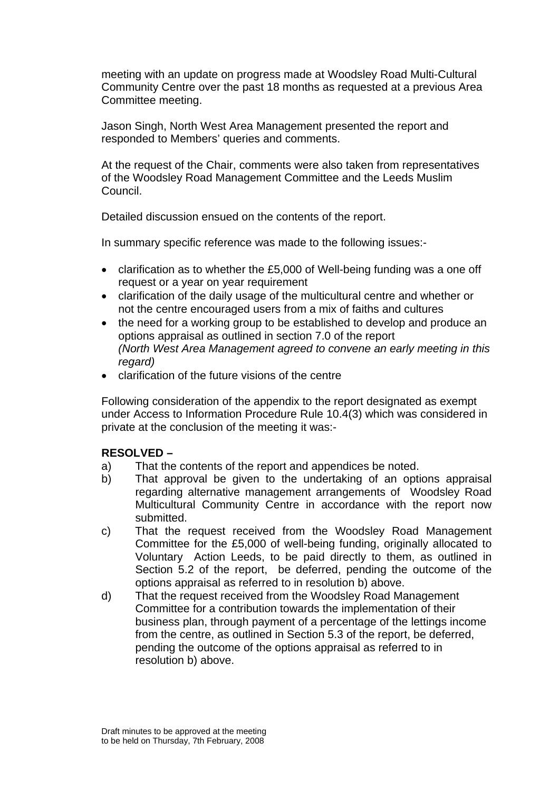meeting with an update on progress made at Woodsley Road Multi-Cultural Community Centre over the past 18 months as requested at a previous Area Committee meeting.

Jason Singh, North West Area Management presented the report and responded to Members' queries and comments.

At the request of the Chair, comments were also taken from representatives of the Woodsley Road Management Committee and the Leeds Muslim Council.

Detailed discussion ensued on the contents of the report.

In summary specific reference was made to the following issues:-

- clarification as to whether the £5,000 of Well-being funding was a one off request or a year on year requirement
- clarification of the daily usage of the multicultural centre and whether or not the centre encouraged users from a mix of faiths and cultures
- the need for a working group to be established to develop and produce an options appraisal as outlined in section 7.0 of the report *(North West Area Management agreed to convene an early meeting in this regard)*
- clarification of the future visions of the centre

Following consideration of the appendix to the report designated as exempt under Access to Information Procedure Rule 10.4(3) which was considered in private at the conclusion of the meeting it was:-

### **RESOLVED –**

- a) That the contents of the report and appendices be noted.
- b) That approval be given to the undertaking of an options appraisal regarding alternative management arrangements of Woodsley Road Multicultural Community Centre in accordance with the report now submitted.
- c) That the request received from the Woodsley Road Management Committee for the £5,000 of well-being funding, originally allocated to Voluntary Action Leeds, to be paid directly to them, as outlined in Section 5.2 of the report, be deferred, pending the outcome of the options appraisal as referred to in resolution b) above.
- d) That the request received from the Woodsley Road Management Committee for a contribution towards the implementation of their business plan, through payment of a percentage of the lettings income from the centre, as outlined in Section 5.3 of the report, be deferred, pending the outcome of the options appraisal as referred to in resolution b) above.